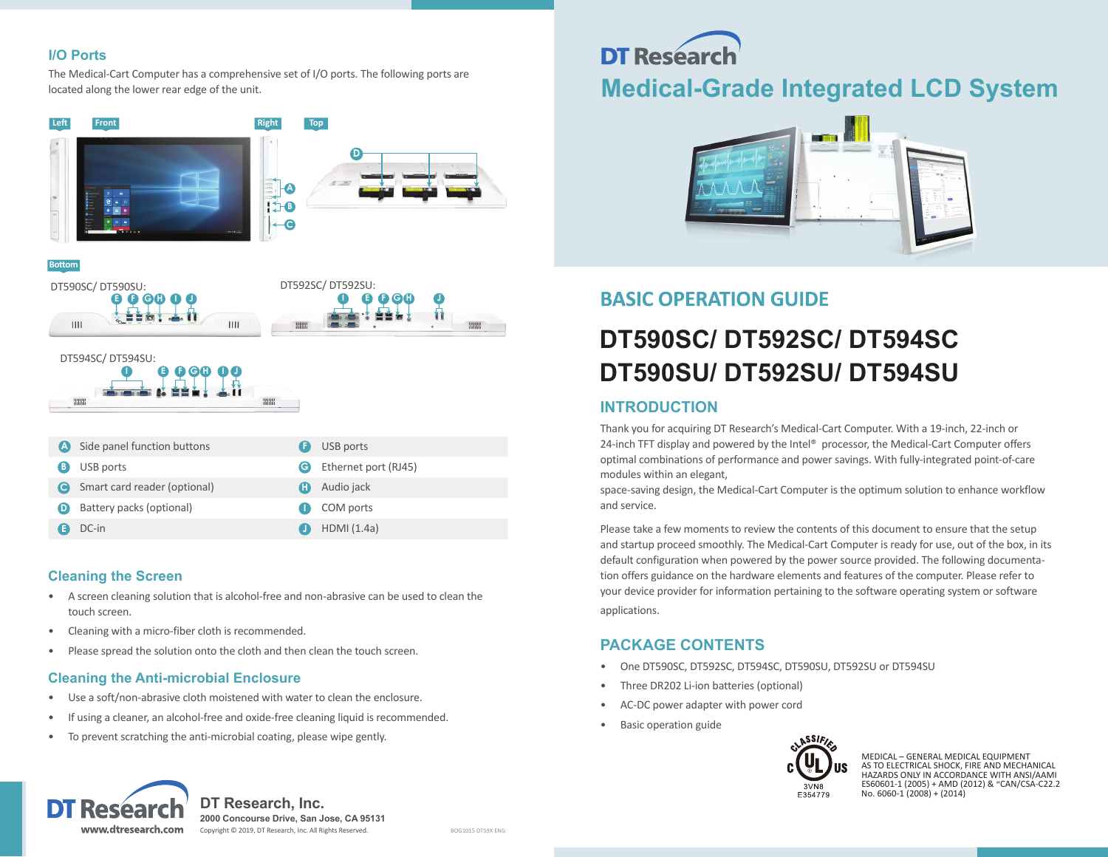#### **I/O Ports**

The Medical-Cart Computer has a comprehensive set of I/O ports. The following ports are located along the lower rear edge of the unit.



#### **Bottom**



#### DT594SC/ DT594SU: **I E F G H I J**9999

| <b>A</b> | Side panel function buttons  | Ð | USB ports            |
|----------|------------------------------|---|----------------------|
| B)       | USB ports                    |   | Ethernet port (RJ45) |
|          | Smart card reader (optional) | Æ | Audio jack           |
| D        | Battery packs (optional)     |   | COM ports            |
|          | DC-in                        |   | HDMI (1.4a)          |

**HHH** 

#### **Cleaning the Screen**

- A screen cleaning solution that is alcohol-free and non-abrasive can be used to clean the touch screen.
- Cleaning with a micro-fiber cloth is recommended.
- Please spread the solution onto the cloth and then clean the touch screen.

#### **Cleaning the Anti-microbial Enclosure**

- Use a soft/non-abrasive cloth moistened with water to clean the enclosure.
- If using a cleaner, an alcohol-free and oxide-free cleaning liquid is recommended.
- To prevent scratching the anti-microbial coating, please wipe gently.

# **DT Researd Medical-Grade Integrated LCD System**



### **BASIC OPERATION GUIDE**

## **DT590SC/ DT592SC/ DT594SC DT590SU/ DT592SU/ DT594SU**

#### **INTRODUCTION**

Thank you for acquiring DT Research's Medical-Cart Computer. With a 19-inch, 22-inch or 24-inch TFT display and powered by the Intel® processor, the Medical-Cart Computer offers optimal combinations of performance and power savings. With fully-integrated point-of-care modules within an elegant,

space-saving design, the Medical-Cart Computer is the optimum solution to enhance workflow and service.

Please take a few moments to review the contents of this document to ensure that the setup and startup proceed smoothly. The Medical-Cart Computer is ready for use, out of the box, in its default configuration when powered by the power source provided. The following documentation offers guidance on the hardware elements and features of the computer. Please refer to your device provider for information pertaining to the software operating system or software applications.

#### **PACKAGE CONTENTS**

- One DT590SC, DT592SC, DT594SC, DT590SU, DT592SU or DT594SU
- Three DR202 Li-ion batteries (optional)
- AC-DC power adapter with power cord
- Basic operation guide



MEDICAL – GENERAL MEDICAL EQUIPMENT AS TO ELECTRICAL SHOCK, FIRE AND MECHANICAL HAZARDS ONLY IN ACCORDANCE WITH ANSI/AAMI ES60601-1 (2005) + AMD (2012) & "CAN/CSA-C22.2 No. 6060-1 (2008) + (2014)



**DT Research, Inc. 2000 Concourse Drive, San Jose, CA 95131** Copyright © 2019, DT Research, Inc. All Rights Reserved. BOG1015 DT59X ENG